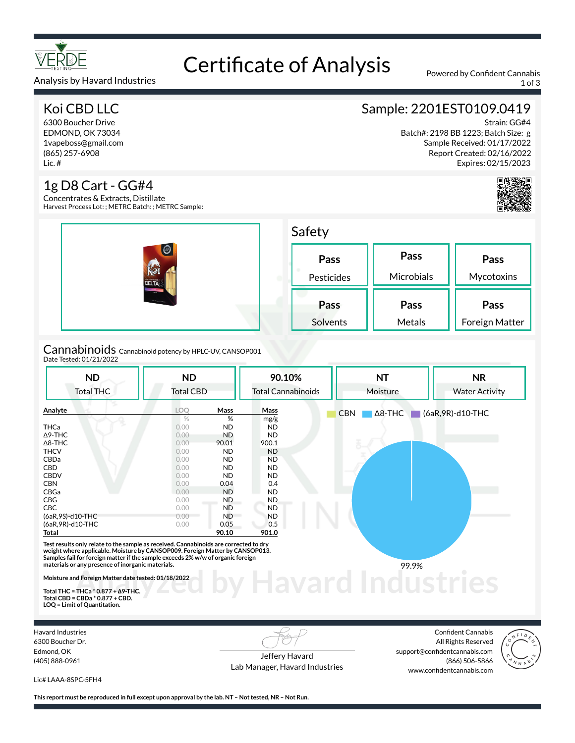

# Certificate of Analysis Powered by Confident Cannabis

Analysis by Havard Industries 1 of 3

### Koi CBD LLC

6300 Boucher Drive EDMOND, OK 73034 1vapeboss@gmail.com (865) 257-6908 Lic. #

#### 1g D8 Cart - GG#4

Concentrates & Extracts, Distillate Harvest Process Lot: ; METRC Batch: ; METRC Sample:

|                                                                               | Safety             |                    |                        |  |  |
|-------------------------------------------------------------------------------|--------------------|--------------------|------------------------|--|--|
| $\odot$<br><b>NO</b><br><b>DELTA</b><br>$rac{1}{2}$<br><b>STEAM CARPENDER</b> | Pass<br>Pesticides | Pass<br>Microbials | Pass<br>Mycotoxins     |  |  |
|                                                                               | Pass<br>Solvents   | Pass<br>Metals     | Pass<br>Foreign Matter |  |  |
| .                                                                             |                    |                    |                        |  |  |

Cannabinoids Cannabinoid potency by HPLC-UV, CANSOP001 Date Tested: 01/21/2022

| <b>ND</b><br><b>Total THC</b>                                                                                                                                                                                                                                                                                                                                                                                        | <b>ND</b><br><b>Total CBD</b> |           | 90.10%<br><b>Total Cannabinoids</b> | <b>NT</b><br>Moisture        | <b>NR</b><br><b>Water Activity</b> |
|----------------------------------------------------------------------------------------------------------------------------------------------------------------------------------------------------------------------------------------------------------------------------------------------------------------------------------------------------------------------------------------------------------------------|-------------------------------|-----------|-------------------------------------|------------------------------|------------------------------------|
| Analyte                                                                                                                                                                                                                                                                                                                                                                                                              | LOO                           | Mass      | Mass                                | $\Delta$ 8-THC<br><b>CBN</b> | (6aR, 9R)-d10-THC                  |
|                                                                                                                                                                                                                                                                                                                                                                                                                      | %                             | %         | mg/g                                |                              |                                    |
| <b>THCa</b>                                                                                                                                                                                                                                                                                                                                                                                                          | 0.00                          | <b>ND</b> | <b>ND</b>                           |                              |                                    |
| $\Delta$ 9-THC                                                                                                                                                                                                                                                                                                                                                                                                       | 0.00                          | <b>ND</b> | ND.                                 |                              |                                    |
| $\Delta$ 8-THC                                                                                                                                                                                                                                                                                                                                                                                                       | 0.00                          | 90.01     | 900.1                               |                              |                                    |
| <b>THCV</b>                                                                                                                                                                                                                                                                                                                                                                                                          | 0.00                          | <b>ND</b> | <b>ND</b>                           |                              |                                    |
| CBDa                                                                                                                                                                                                                                                                                                                                                                                                                 | 0.00                          | <b>ND</b> | ND.                                 |                              |                                    |
| CBD                                                                                                                                                                                                                                                                                                                                                                                                                  | 0.00                          | <b>ND</b> | <b>ND</b>                           |                              |                                    |
| <b>CBDV</b>                                                                                                                                                                                                                                                                                                                                                                                                          | 0.00                          | <b>ND</b> | ND.                                 |                              |                                    |
| <b>CBN</b>                                                                                                                                                                                                                                                                                                                                                                                                           | 0.00                          | 0.04      | 0.4                                 |                              |                                    |
| CBGa                                                                                                                                                                                                                                                                                                                                                                                                                 | 0.00                          | <b>ND</b> | <b>ND</b>                           |                              |                                    |
| CBG                                                                                                                                                                                                                                                                                                                                                                                                                  | 0.00                          | <b>ND</b> | ND.                                 |                              |                                    |
| <b>CBC</b>                                                                                                                                                                                                                                                                                                                                                                                                           | 0.00                          | <b>ND</b> | <b>ND</b>                           |                              |                                    |
| (6aR,9S)-d10-THC                                                                                                                                                                                                                                                                                                                                                                                                     | 0.00                          | <b>ND</b> | <b>ND</b>                           |                              |                                    |
| (6aR, 9R)-d10-THC                                                                                                                                                                                                                                                                                                                                                                                                    | 0.00                          | 0.05      | 0.5                                 |                              |                                    |
| Total                                                                                                                                                                                                                                                                                                                                                                                                                |                               | 90.10     | 901.0                               |                              |                                    |
| Test results only relate to the sample as received. Cannabinoids are corrected to dry<br>weight where applicable. Moisture by CANSOP009. Foreign Matter by CANSOP013.<br>Samples fail for foreign matter if the sample exceeds 2% w/w of organic foreign<br>materials or any presence of inorganic materials.<br>Moisture and Foreign Matter date tested: 01/18/2022<br>Total THC = THCa $*$ 0.877 + $\Delta$ 9-THC. |                               |           |                                     | 99.9%                        |                                    |

**Total THC = THCa \* 0.877 + ∆9-THC. Total CBD = CBDa \* 0.877 + CBD. LOQ = Limit of Quantitation.**

Havard Industries 6300 Boucher Dr. Edmond, OK (405) 888-0961

Jeffery Havard Lab Manager, Havard Industries

Confident Cannabis All Rights Reserved support@confidentcannabis.com (866) 506-5866 www.confidentcannabis.com



Lic# LAAA-8SPC-5FH4

**This report must be reproduced in full except upon approval by the lab. NT – Not tested, NR – Not Run.**

## Sample: 2201EST0109.0419

Strain: GG#4

Batch#: 2198 BB 1223; Batch Size: g Sample Received: 01/17/2022 Report Created: 02/16/2022 Expires: 02/15/2023